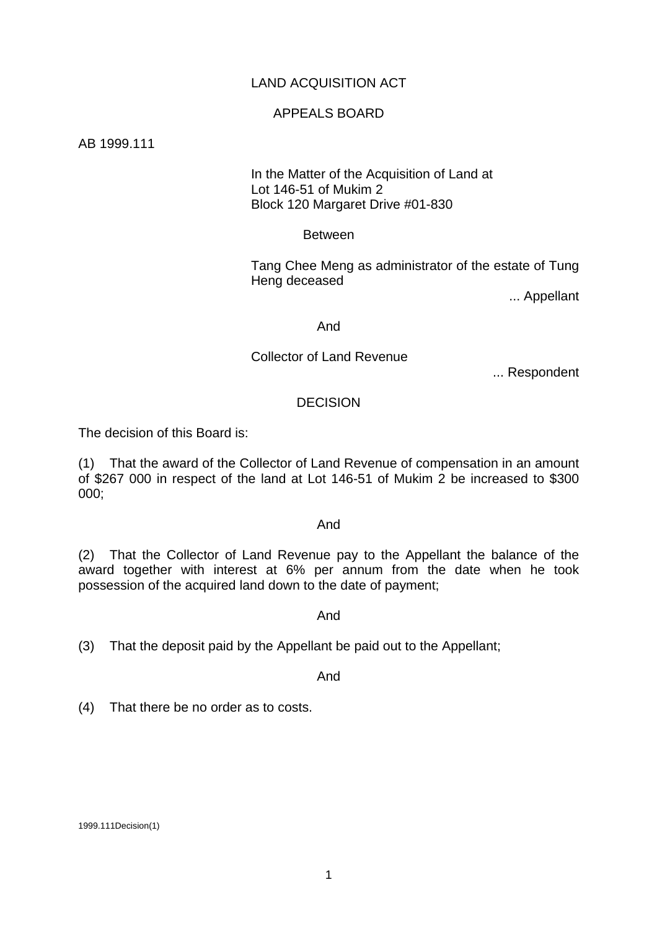# LAND ACQUISITION ACT

## APPEALS BOARD

AB 1999.111

## In the Matter of the Acquisition of Land at Lot 146-51 of Mukim 2 Block 120 Margaret Drive #01-830

#### Between

 Tang Chee Meng as administrator of the estate of Tung Heng deceased

... Appellant

#### And

#### Collector of Land Revenue

... Respondent

## DECISION

The decision of this Board is:

(1) That the award of the Collector of Land Revenue of compensation in an amount of \$267 000 in respect of the land at Lot 146-51 of Mukim 2 be increased to \$300 000;

#### And

(2) That the Collector of Land Revenue pay to the Appellant the balance of the award together with interest at 6% per annum from the date when he took possession of the acquired land down to the date of payment;

#### And

## (3) That the deposit paid by the Appellant be paid out to the Appellant;

And

(4) That there be no order as to costs.

1999.111Decision(1)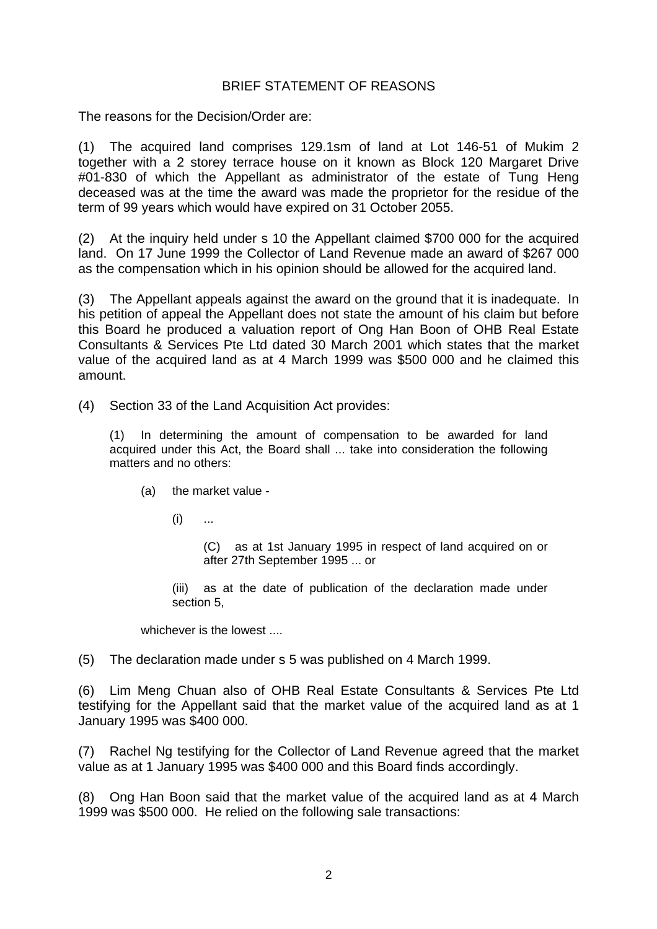## BRIEF STATEMENT OF REASONS

The reasons for the Decision/Order are:

(1) The acquired land comprises 129.1sm of land at Lot 146-51 of Mukim 2 together with a 2 storey terrace house on it known as Block 120 Margaret Drive #01-830 of which the Appellant as administrator of the estate of Tung Heng deceased was at the time the award was made the proprietor for the residue of the term of 99 years which would have expired on 31 October 2055.

(2) At the inquiry held under s 10 the Appellant claimed \$700 000 for the acquired land. On 17 June 1999 the Collector of Land Revenue made an award of \$267 000 as the compensation which in his opinion should be allowed for the acquired land.

(3) The Appellant appeals against the award on the ground that it is inadequate. In his petition of appeal the Appellant does not state the amount of his claim but before this Board he produced a valuation report of Ong Han Boon of OHB Real Estate Consultants & Services Pte Ltd dated 30 March 2001 which states that the market value of the acquired land as at 4 March 1999 was \$500 000 and he claimed this amount.

(4) Section 33 of the Land Acquisition Act provides:

(1) In determining the amount of compensation to be awarded for land acquired under this Act, the Board shall ... take into consideration the following matters and no others:

- (a) the market value
	- $(i)$  ...

(C) as at 1st January 1995 in respect of land acquired on or after 27th September 1995 ... or

(iii) as at the date of publication of the declaration made under section 5,

whichever is the lowest ....

(5) The declaration made under s 5 was published on 4 March 1999.

(6) Lim Meng Chuan also of OHB Real Estate Consultants & Services Pte Ltd testifying for the Appellant said that the market value of the acquired land as at 1 January 1995 was \$400 000.

(7) Rachel Ng testifying for the Collector of Land Revenue agreed that the market value as at 1 January 1995 was \$400 000 and this Board finds accordingly.

(8) Ong Han Boon said that the market value of the acquired land as at 4 March 1999 was \$500 000. He relied on the following sale transactions: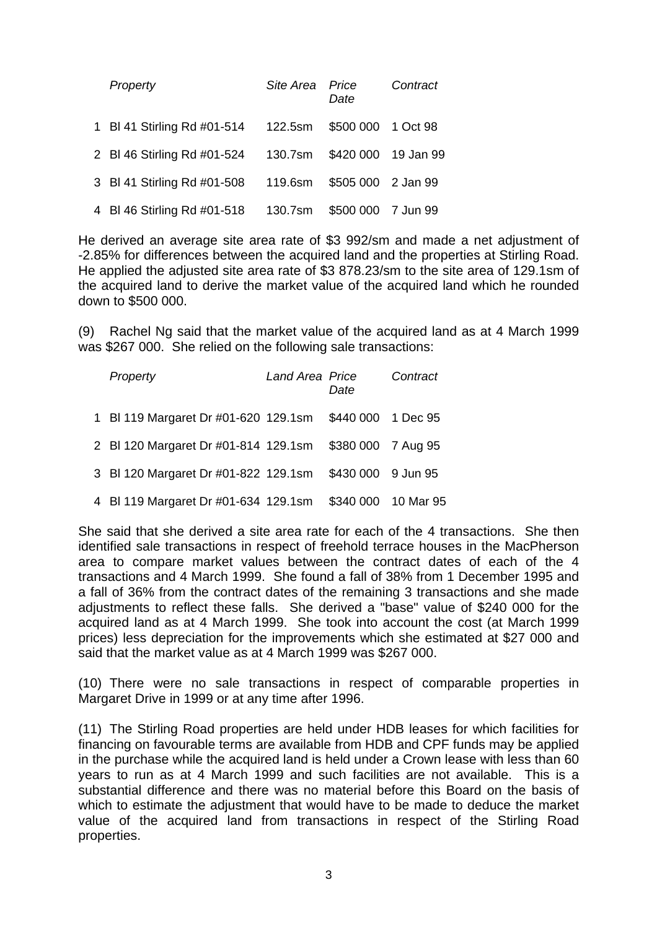| Property                    | Site Area Price | Date                | Contract |
|-----------------------------|-----------------|---------------------|----------|
| 1 BI 41 Stirling Rd #01-514 | 122.5sm         | \$500 000 1 Oct 98  |          |
| 2 BI 46 Stirling Rd #01-524 | 130.7sm         | \$420 000 19 Jan 99 |          |
| 3 BI 41 Stirling Rd #01-508 | 119.6sm         | \$505 000 2 Jan 99  |          |
| 4 BI 46 Stirling Rd #01-518 | 130.7sm         | \$500 000 7 Jun 99  |          |

He derived an average site area rate of \$3 992/sm and made a net adjustment of -2.85% for differences between the acquired land and the properties at Stirling Road. He applied the adjusted site area rate of \$3 878.23/sm to the site area of 129.1sm of the acquired land to derive the market value of the acquired land which he rounded down to \$500 000.

(9) Rachel Ng said that the market value of the acquired land as at 4 March 1999 was \$267 000. She relied on the following sale transactions:

| Property                                                | Land Area Price | Date                | Contract |
|---------------------------------------------------------|-----------------|---------------------|----------|
| 1 BI 119 Margaret Dr #01-620 129.1sm \$440 000 1 Dec 95 |                 |                     |          |
| 2 BI 120 Margaret Dr #01-814 129.1sm \$380 000 7 Aug 95 |                 |                     |          |
| 3 BI 120 Margaret Dr #01-822 129.1sm                    |                 | \$430 000 9 Jun 95  |          |
| 4 BI 119 Margaret Dr #01-634 129.1sm                    |                 | \$340 000 10 Mar 95 |          |

She said that she derived a site area rate for each of the 4 transactions. She then identified sale transactions in respect of freehold terrace houses in the MacPherson area to compare market values between the contract dates of each of the 4 transactions and 4 March 1999. She found a fall of 38% from 1 December 1995 and a fall of 36% from the contract dates of the remaining 3 transactions and she made adjustments to reflect these falls. She derived a "base" value of \$240 000 for the acquired land as at 4 March 1999. She took into account the cost (at March 1999 prices) less depreciation for the improvements which she estimated at \$27 000 and said that the market value as at 4 March 1999 was \$267 000.

(10) There were no sale transactions in respect of comparable properties in Margaret Drive in 1999 or at any time after 1996.

(11) The Stirling Road properties are held under HDB leases for which facilities for financing on favourable terms are available from HDB and CPF funds may be applied in the purchase while the acquired land is held under a Crown lease with less than 60 years to run as at 4 March 1999 and such facilities are not available. This is a substantial difference and there was no material before this Board on the basis of which to estimate the adjustment that would have to be made to deduce the market value of the acquired land from transactions in respect of the Stirling Road properties.